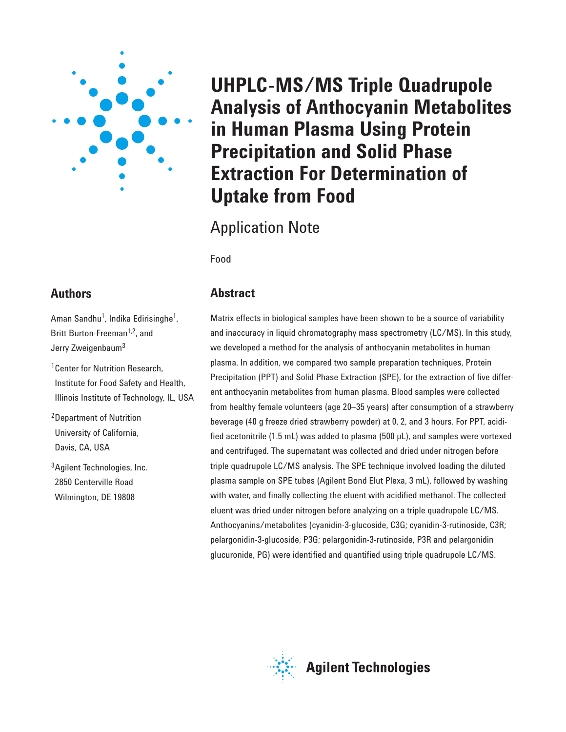

# **Authors**

Aman Sandhu<sup>1</sup>, Indika Edirisinghe<sup>1</sup>, Britt Burton-Freeman<sup>1,2</sup>, and Jerry Zweigenbaum<sup>3</sup>

<sup>1</sup> Center for Nutrition Research, Institute for Food Safety and Health, Illinois Institute of Technology, IL, USA

2Department of Nutrition University of California, Davis, CA, USA

3Agilent Technologies, Inc. 2850 Centerville Road Wilmington, DE 19808

# **UHPLC-MS/MS Triple Quadrupole Analysis of Anthocyanin Metabolites in Human Plasma Using Protein Precipitation and Solid Phase Extraction For Determination of Uptake from Food**

Application Note

Food

# **Abstract**

Matrix effects in biological samples have been shown to be a source of variability and inaccuracy in liquid chromatography mass spectrometry (LC/MS). In this study, we developed a method for the analysis of anthocyanin metabolites in human plasma. In addition, we compared two sample preparation techniques, Protein Precipitation (PPT) and Solid Phase Extraction (SPE), for the extraction of five different anthocyanin metabolites from human plasma. Blood samples were collected from healthy female volunteers (age 20–35 years) after consumption of a strawberry beverage (40 g freeze dried strawberry powder) at 0, 2, and 3 hours. For PPT, acidified acetonitrile (1.5 mL) was added to plasma (500 µL), and samples were vortexed and centrifuged. The supernatant was collected and dried under nitrogen before triple quadrupole LC/MS analysis. The SPE technique involved loading the diluted plasma sample on SPE tubes (Agilent Bond Elut Plexa, 3 mL), followed by washing with water, and finally collecting the eluent with acidified methanol. The collected eluent was dried under nitrogen before analyzing on a triple quadrupole LC/MS. Anthocyanins/metabolites (cyanidin-3-glucoside, C3G; cyanidin-3-rutinoside, C3R; pelargonidin-3-glucoside, P3G; pelargonidin-3-rutinoside, P3R and pelargonidin glucuronide, PG) were identified and quantified using triple quadrupole LC/MS.

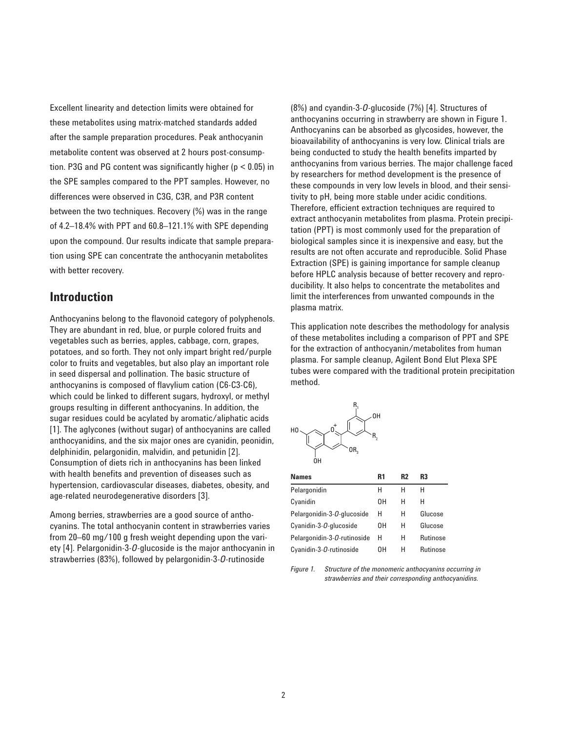Excellent linearity and detection limits were obtained for these metabolites using matrix-matched standards added after the sample preparation procedures. Peak anthocyanin metabolite content was observed at 2 hours post-consumption. P3G and PG content was significantly higher (p < 0.05) in the SPE samples compared to the PPT samples. However, no differences were observed in C3G, C3R, and P3R content between the two techniques. Recovery (%) was in the range of 4.2–18.4% with PPT and 60.8–121.1% with SPE depending upon the compound. Our results indicate that sample preparation using SPE can concentrate the anthocyanin metabolites with better recovery.

## **Introduction**

Anthocyanins belong to the flavonoid category of polyphenols. They are abundant in red, blue, or purple colored fruits and vegetables such as berries, apples, cabbage, corn, grapes, potatoes, and so forth. They not only impart bright red/purple color to fruits and vegetables, but also play an important role in seed dispersal and pollination. The basic structure of anthocyanins is composed of flavylium cation (C6-C3-C6), which could be linked to different sugars, hydroxyl, or methyl groups resulting in different anthocyanins. In addition, the sugar residues could be acylated by aromatic/aliphatic acids [1]. The aglycones (without sugar) of anthocyanins are called anthocyanidins, and the six major ones are cyanidin, peonidin, delphinidin, pelargonidin, malvidin, and petunidin [2]. Consumption of diets rich in anthocyanins has been linked with health benefits and prevention of diseases such as hypertension, cardiovascular diseases, diabetes, obesity, and age-related neurodegenerative disorders [3].

Among berries, strawberries are a good source of anthocyanins. The total anthocyanin content in strawberries varies from 20–60 mg/100 g fresh weight depending upon the variety [4]. Pelargonidin-3-*O*-glucoside is the major anthocyanin in strawberries (83%), followed by pelargonidin-3-*O*-rutinoside

(8%) and cyandin-3-*O*-glucoside (7%) [4]. Structures of anthocyanins occurring in strawberry are shown in Figure 1. Anthocyanins can be absorbed as glycosides, however, the bioavailability of anthocyanins is very low. Clinical trials are being conducted to study the health benefits imparted by anthocyanins from various berries. The major challenge faced by researchers for method development is the presence of these compounds in very low levels in blood, and their sensitivity to pH, being more stable under acidic conditions. Therefore, efficient extraction techniques are required to extract anthocyanin metabolites from plasma. Protein precipitation (PPT) is most commonly used for the preparation of biological samples since it is inexpensive and easy, but the results are not often accurate and reproducible. Solid Phase Extraction (SPE) is gaining importance for sample cleanup before HPLC analysis because of better recovery and reproducibility. It also helps to concentrate the metabolites and limit the interferences from unwanted compounds in the plasma matrix.

This application note describes the methodology for analysis of these metabolites including a comparison of PPT and SPE for the extraction of anthocyanin/metabolites from human plasma. For sample cleanup, Agilent Bond Elut Plexa SPE tubes were compared with the traditional protein precipitation method.



| <b>Names</b>                         | R1 | R2 | R3              |
|--------------------------------------|----|----|-----------------|
| Pelargonidin                         | Н  | н  | н               |
| Cyanidin                             | OΗ | н  | н               |
| Pelargonidin-3- <i>O</i> -glucoside  | Н  | н  | Glucose         |
| Cyanidin-3-O-glucoside               | OΗ | н  | Glucose         |
| Pelargonidin-3- <i>O</i> -rutinoside | н  | н  | Rutinose        |
| Cyanidin-3-O-rutinoside              | OΗ | н  | <b>Rutinose</b> |

*Figure 1. Structure of the monomeric anthocyanins occurring in strawberries and their corresponding anthocyanidins.*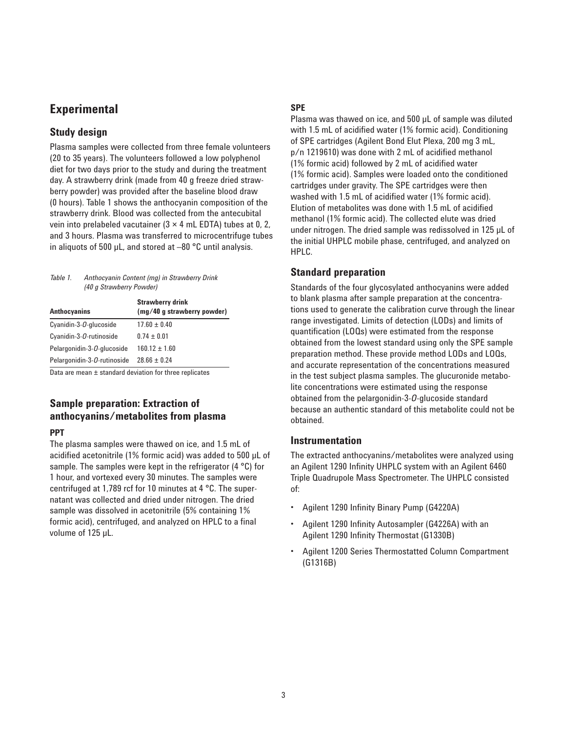# **Experimental**

#### **Study design**

Plasma samples were collected from three female volunteers (20 to 35 years). The volunteers followed a low polyphenol diet for two days prior to the study and during the treatment day. A strawberry drink (made from 40 g freeze dried strawberry powder) was provided after the baseline blood draw (0 hours). Table 1 shows the anthocyanin composition of the strawberry drink. Blood was collected from the antecubital vein into prelabeled vacutainer  $(3 \times 4 \text{ mL EDTA})$  tubes at 0, 2, and 3 hours. Plasma was transferred to microcentrifuge tubes in aliquots of 500 µL, and stored at –80 °C until analysis.

#### *Table 1. Anthocyanin Content (mg) in Strawberry Drink (40 g Strawberry Powder)*

| <b>Anthocyanins</b>                  | <b>Strawberry drink</b><br>(mg/40 g strawberry powder) |
|--------------------------------------|--------------------------------------------------------|
| Cyanidin-3-O-glucoside               | $17.60 + 0.40$                                         |
| Cyanidin-3-O-rutinoside              | $0.74 \pm 0.01$                                        |
| Pelargonidin-3- <i>O</i> -glucoside  | $160.12 + 1.60$                                        |
| Pelargonidin-3- <i>O</i> -rutinoside | $28.66 \pm 0.24$                                       |

Data are mean ± standard deviation for three replicates

# **Sample preparation: Extraction of anthocyanins/metabolites from plasma**

#### **PPT**

The plasma samples were thawed on ice, and 1.5 mL of acidified acetonitrile (1% formic acid) was added to 500 µL of sample. The samples were kept in the refrigerator (4 °C) for 1 hour, and vortexed every 30 minutes. The samples were centrifuged at 1,789 rcf for 10 minutes at 4 °C. The supernatant was collected and dried under nitrogen. The dried sample was dissolved in acetonitrile (5% containing 1% formic acid), centrifuged, and analyzed on HPLC to a final volume of 125 µL.

#### **SPE**

Plasma was thawed on ice, and 500 µL of sample was diluted with 1.5 mL of acidified water (1% formic acid). Conditioning of SPE cartridges (Agilent Bond Elut Plexa, 200 mg 3 mL, p/n 1219610) was done with 2 mL of acidified methanol (1% formic acid) followed by 2 mL of acidified water (1% formic acid). Samples were loaded onto the conditioned cartridges under gravity. The SPE cartridges were then washed with 1.5 mL of acidified water (1% formic acid). Elution of metabolites was done with 1.5 mL of acidified methanol (1% formic acid). The collected elute was dried under nitrogen. The dried sample was redissolved in 125 µL of the initial UHPLC mobile phase, centrifuged, and analyzed on HPLC.

#### **Standard preparation**

Standards of the four glycosylated anthocyanins were added to blank plasma after sample preparation at the concentrations used to generate the calibration curve through the linear range investigated. Limits of detection (LODs) and limits of quantification (LOQs) were estimated from the response obtained from the lowest standard using only the SPE sample preparation method. These provide method LODs and LOQs, and accurate representation of the concentrations measured in the test subject plasma samples. The glucuronide metabolite concentrations were estimated using the response obtained from the pelargonidin-3-*O*-glucoside standard because an authentic standard of this metabolite could not be obtained.

#### **Instrumentation**

The extracted anthocyanins/metabolites were analyzed using an Agilent 1290 Infinity UHPLC system with an Agilent 6460 Triple Quadrupole Mass Spectrometer. The UHPLC consisted of:

- Agilent 1290 Infinity Binary Pump (G4220A)
- Agilent 1290 Infinity Autosampler (G4226A) with an Agilent 1290 Infinity Thermostat (G1330B)
- Agilent 1200 Series Thermostatted Column Compartment (G1316B)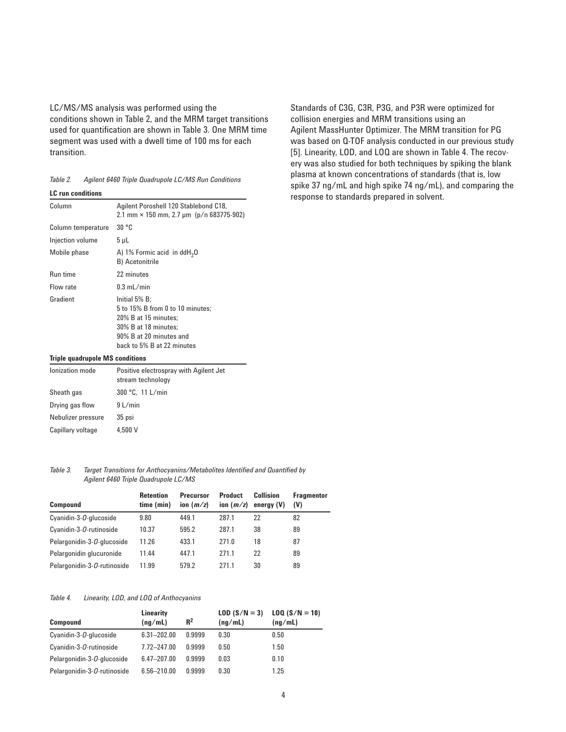LC/MS/MS analysis was performed using the conditions shown in Table 2, and the MRM target transitions used for quantification are shown in Table 3. One MRM time segment was used with a dwell time of 100 ms for each transition.

| Table 2. | Agilent 6460 Triple Quadrupole LC/MS Run Conditions |  |  |  |  |  |
|----------|-----------------------------------------------------|--|--|--|--|--|
|----------|-----------------------------------------------------|--|--|--|--|--|

| <b>LC</b> run conditions |                                                                                                                                                            |
|--------------------------|------------------------------------------------------------------------------------------------------------------------------------------------------------|
| Column                   | Agilent Poroshell 120 Stablebond C18,<br>2.1 mm $\times$ 150 mm, 2.7 µm (p/n 683775-902)                                                                   |
| Column temperature       | 30 °C                                                                                                                                                      |
| Injection volume         | $5 \mu L$                                                                                                                                                  |
| Mobile phase             | A) 1% Formic acid in $ddH20$<br>B) Acetonitrile                                                                                                            |
| Run time                 | 22 minutes                                                                                                                                                 |
| Flow rate                | $0.3$ mL/min                                                                                                                                               |
| Gradient                 | Initial 5% B:<br>5 to 15% B from 0 to 10 minutes:<br>20% B at 15 minutes:<br>30% B at 18 minutes:<br>90% B at 20 minutes and<br>back to 5% B at 22 minutes |

Standards of C3G, C3R, P3G, and P3R were optimized for collision energies and MRM transitions using an Agilent MassHunter Optimizer. The MRM transition for PG was based on Q-TOF analysis conducted in our previous study [5]. Linearity, LOD, and LOQ are shown in Table 4. The recovery was also studied for both techniques by spiking the blank plasma at known concentrations of standards (that is, low spike 37 ng/mL and high spike 74 ng/mL), and comparing the response to standards prepared in solvent.

#### **Triple quadrupole MS conditions**

| lonization mode    | Positive electrospray with Agilent Jet<br>stream technology |
|--------------------|-------------------------------------------------------------|
| Sheath gas         | 300 °C, 11 L/min                                            |
| Drying gas flow    | $9$ L/min                                                   |
| Nebulizer pressure | 35 psi                                                      |
| Capillary voltage  | 4.500 V                                                     |

*Table 3. Target Transitions for Anthocyanins/Metabolites Identified and Quantified by Agilent 6460 Triple Quadrupole LC/MS*

| <b>Compound</b>                      | <b>Retention</b><br>time (min) | <b>Precursor</b><br>ion $(m/z)$ | <b>Product</b><br>ion $(m/z)$ | Collision<br>energy (V) | <b>Fragmentor</b><br>(V) |
|--------------------------------------|--------------------------------|---------------------------------|-------------------------------|-------------------------|--------------------------|
| Cyanidin-3-O-glucoside               | 9.80                           | 449.1                           | 287.1                         | 22                      | 82                       |
| Cyanidin-3-O-rutinoside              | 10.37                          | 595.2                           | 287.1                         | 38                      | 89                       |
| Pelargonidin-3-O-glucoside           | 11.26                          | 433.1                           | 271.0                         | 18                      | 87                       |
| Pelargonidin glucuronide             | 11.44                          | 447.1                           | 271.1                         | 22                      | 89                       |
| Pelargonidin-3- <i>O</i> -rutinoside | 11.99                          | 579.2                           | 271.1                         | 30                      | 89                       |

#### *Table 4. Linearity, LOD, and LOQ of Anthocyanins*

| <b>Compound</b>                      | Linearity<br>(nq/mL) | $R^2$  | $LOD (S/N = 3)$<br>(ng/mL) | $LOQ (S/N = 10)$<br>(nq/mL) |
|--------------------------------------|----------------------|--------|----------------------------|-----------------------------|
| Cyanidin-3-O-glucoside               | $6.31 - 202.00$      | 0.9999 | 0.30                       | 0.50                        |
| Cyanidin-3-O-rutinoside              | 7.72-247.00          | 0.9999 | 0.50                       | 1.50                        |
| Pelargonidin-3- <i>O</i> -glucoside  | $6.47 - 207.00$      | 0.9999 | 0.03                       | 0.10                        |
| Pelargonidin-3- <i>O</i> -rutinoside | 6.56-210.00          | 0.9999 | 0.30                       | 1.25                        |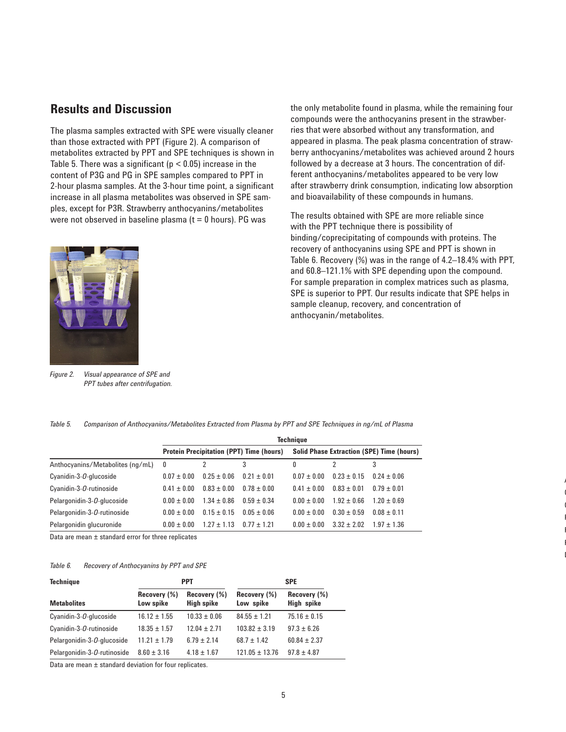# **Results and Discussion**

The plasma samples extracted with SPE were visually cleaner than those extracted with PPT (Figure 2). A comparison of metabolites extracted by PPT and SPE techniques is shown in Table 5. There was a significant ( $p < 0.05$ ) increase in the content of P3G and PG in SPE samples compared to PPT in 2-hour plasma samples. At the 3-hour time point, a significant increase in all plasma metabolites was observed in SPE samples, except for P3R. Strawberry anthocyanins/metabolites were not observed in baseline plasma ( $t = 0$  hours). PG was



*Figure 2. Visual appearance of SPE and PPT tubes after centrifugation.*

the only metabolite found in plasma, while the remaining four compounds were the anthocyanins present in the strawberries that were absorbed without any transformation, and appeared in plasma. The peak plasma concentration of strawberry anthocyanins/metabolites was achieved around 2 hours followed by a decrease at 3 hours. The concentration of different anthocyanins/metabolites appeared to be very low after strawberry drink consumption, indicating low absorption and bioavailability of these compounds in humans.

The results obtained with SPE are more reliable since with the PPT technique there is possibility of binding/coprecipitating of compounds with proteins. The recovery of anthocyanins using SPE and PPT is shown in Table 6. Recovery (%) was in the range of 4.2–18.4% with PPT, and 60.8–121.1% with SPE depending upon the compound. For sample preparation in complex matrices such as plasma, SPE is superior to PPT. Our results indicate that SPE helps in sample cleanup, recovery, and concentration of anthocyanin/metabolites.

> A  $\overline{\phantom{a}}$  $\overline{\phantom{a}}$ P P P D

|  | Table 5. Comparison of Anthocvanins/Metabolites Extracted from Plasma by PPT and SPE Techniques in ng/mL of Plasma |  |  |
|--|--------------------------------------------------------------------------------------------------------------------|--|--|
|  |                                                                                                                    |  |  |

|                                      | Technique                                                                                           |                 |               |               |                 |                 |
|--------------------------------------|-----------------------------------------------------------------------------------------------------|-----------------|---------------|---------------|-----------------|-----------------|
|                                      | <b>Protein Precipitation (PPT) Time (hours)</b><br><b>Solid Phase Extraction (SPE) Time (hours)</b> |                 |               |               |                 |                 |
| Anthocyanins/Metabolites (ng/mL)     | 0                                                                                                   |                 | 3             | 0             |                 | 3               |
| Cyanidin-3-O-glucoside               | $0.07 + 0.00$                                                                                       | $0.25 + 0.06$   | $0.21 + 0.01$ | $0.07 + 0.00$ | $0.23 + 0.15$   | $0.24 \pm 0.06$ |
| Cyanidin-3-O-rutinoside              | $0.41 + 0.00$                                                                                       | $0.83 \pm 0.00$ | $0.78 + 0.00$ | $0.41 + 0.00$ | $0.83 + 0.01$   | $0.79 + 0.01$   |
| Pelargonidin-3- <i>O</i> -glucoside  | $0.00 + 0.00$                                                                                       | $1.34 + 0.86$   | $0.59 + 0.34$ | $0.00 + 0.00$ | $1.92 \pm 0.66$ | $1.20 + 0.69$   |
| Pelargonidin-3- <i>O</i> -rutinoside | $0.00 \pm 0.00$                                                                                     | $0.15 \pm 0.15$ | $0.05 + 0.06$ | $0.00 + 0.00$ | $0.30 + 0.59$   | $0.08 + 0.11$   |
| Pelargonidin glucuronide             | $0.00 + 0.00$                                                                                       | $1.27 + 1.13$   | $0.77 + 1.21$ | $0.00 + 0.00$ | $3.32 + 2.02$   | $1.97 + 1.36$   |

Data are mean ± standard error for three replicates

#### *Table 6. Recovery of Anthocyanins by PPT and SPE*

| <b>Technique</b>                     |                           | <b>PPT</b>                        | <b>SPE</b>                |                            |  |
|--------------------------------------|---------------------------|-----------------------------------|---------------------------|----------------------------|--|
| <b>Metabolites</b>                   | Recovery (%)<br>Low spike | Recovery (%)<br><b>High spike</b> | Recovery (%)<br>Low spike | Recovery (%)<br>High spike |  |
| Cyanidin-3-O-glucoside               | $16.12 \pm 1.55$          | $10.33 \pm 0.06$                  | $84.55 \pm 1.21$          | $75.16 \pm 0.15$           |  |
| Cyanidin-3-O-rutinoside              | $18.35 \pm 1.57$          | $12.04 + 2.71$                    | $103.82 + 3.19$           | $97.3 \pm 6.26$            |  |
| Pelargonidin-3- <i>O</i> -glucoside  | $11.21 \pm 1.79$          | $6.79 \pm 2.14$                   | $687 + 142$               | $60.84 \pm 2.37$           |  |
| Pelargonidin-3- <i>O</i> -rutinoside | $8.60 \pm 3.16$           | $4.18 \pm 1.67$                   | $121.05 \pm 13.76$        | $97.8 \pm 4.87$            |  |

Data are mean ± standard deviation for four replicates.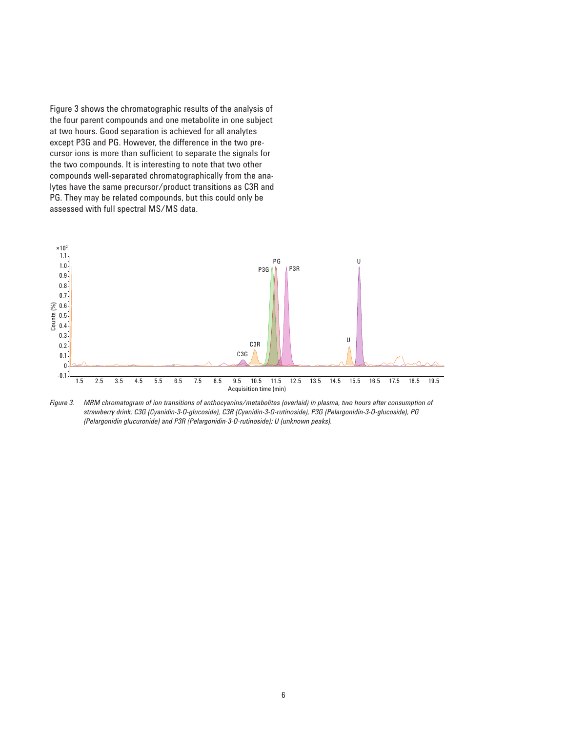Figure 3 shows the chromatographic results of the analysis of the four parent compounds and one metabolite in one subject at two hours. Good separation is achieved for all analytes except P3G and PG. However, the difference in the two precursor ions is more than sufficient to separate the signals for the two compounds. It is interesting to note that two other compounds well-separated chromatographically from the analytes have the same precursor/product transitions as C3R and PG. They may be related compounds, but this could only be assessed with full spectral MS/MS data.



Figure 3. MRM chromatogram of ion transitions of anthocyanins/metabolites (overlaid) in plasma, two hours after consumption of *strawberry drink; C3G (Cyanidin-3-O-glucoside), C3R (Cyanidin-3-O-rutinoside), P3G (Pelargonidin-3-O-glucoside), PG (Pelargonidin glucuronide) and P3R (Pelargonidin-3-O-rutinoside); U (unknown peaks).*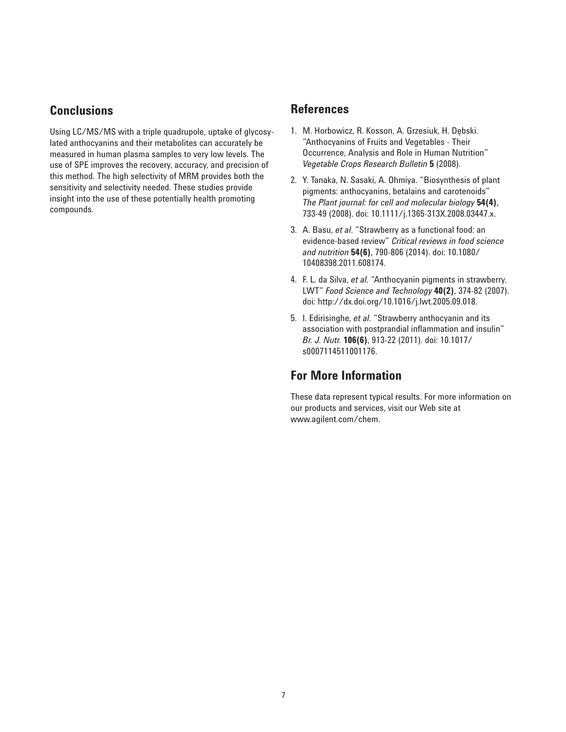# **Conclusions**

Using LC/MS/MS with a triple quadrupole, uptake of glycosylated anthocyanins and their metabolites can accurately be measured in human plasma samples to very low levels. The use of SPE improves the recovery, accuracy, and precision of this method. The high selectivity of MRM provides both the sensitivity and selectivity needed. These studies provide insight into the use of these potentially health promoting compounds.

# **References**

- 1. M. Horbowicz, R. Kosson, A. Grzesiuk, H. Dębski. "Anthocyanins of Fruits and Vegetables - Their Occurrence, Analysis and Role in Human Nutrition" *Vegetable Crops Research Bulletin* **5** (2008).
- 2. Y. Tanaka, N. Sasaki, A. Ohmiya. "Biosynthesis of plant pigments: anthocyanins, betalains and carotenoids" *The Plant journal: for cell and molecular biology* **54(4)**, 733-49 (2008). doi: 10.1111/j.1365-313X.2008.03447.x.
- 3. A. Basu, *et al*. "Strawberry as a functional food: an evidence-based review" *Critical reviews in food science and nutrition* **54(6)**, 790-806 (2014). doi: 10.1080/ 10408398.2011.608174.
- 4. F. L. da Silva, *et al*. "Anthocyanin pigments in strawberry. LWT" *Food Science and Technology* **40(2)**, 374-82 (2007). doi: http://dx.doi.org/10.1016/j.lwt.2005.09.018.
- 5. I. Edirisinghe, *et al*. "Strawberry anthocyanin and its association with postprandial inflammation and insulin" *Br. J. Nutr.* **106(6)**, 913-22 (2011). doi: 10.1017/ s0007114511001176.

# **For More Information**

These data represent typical results. For more information on our products and services, visit our Web site at www.agilent.com/chem.